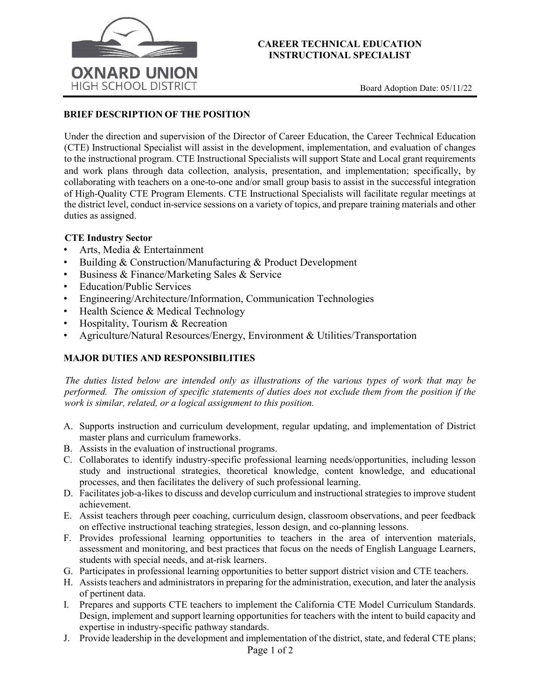

### **CAREER TECHNICAL EDUCATION INSTRUCTIONAL SPECIALIST**

# **BRIEF DESCRIPTION OF THE POSITION**

Under the direction and supervision of the Director of Career Education, the Career Technical Education (CTE) Instructional Specialist will assist in the development, implementation, and evaluation of changes to the instructional program. CTE Instructional Specialists will support State and Local grant requirements and work plans through data collection, analysis, presentation, and implementation; specifically, by collaborating with teachers on a one-to-one and/or small group basis to assist in the successful integration of High-Quality CTE Program Elements. CTE Instructional Specialists will facilitate regular meetings at the district level, conduct in-service sessions on a variety of topics, and prepare training materials and other duties as assigned.

## **CTE Industry Sector**

- Arts, Media & Entertainment
- Building & Construction/Manufacturing & Product Development
- Business & Finance/Marketing Sales & Service
- Education/Public Services
- Engineering/Architecture/Information, Communication Technologies
- Health Science & Medical Technology
- Hospitality, Tourism & Recreation
- Agriculture/Natural Resources/Energy, Environment & Utilities/Transportation

## **MAJOR DUTIES AND RESPONSIBILITIES**

*The duties listed below are intended only as illustrations of the various types of work that may be performed. The omission of specific statements of duties does not exclude them from the position if the work is similar, related, or a logical assignment to this position.* 

- A. Supports instruction and curriculum development, regular updating, and implementation of District master plans and curriculum frameworks.
- B. Assists in the evaluation of instructional programs.
- C. Collaborates to identify industry-specific professional learning needs/opportunities, including lesson study and instructional strategies, theoretical knowledge, content knowledge, and educational processes, and then facilitates the delivery of such professional learning.
- D. Facilitates job-a-likes to discuss and develop curriculum and instructional strategies to improve student achievement.
- E. Assist teachers through peer coaching, curriculum design, classroom observations, and peer feedback on effective instructional teaching strategies, lesson design, and co-planning lessons.
- F. Provides professional learning opportunities to teachers in the area of intervention materials, assessment and monitoring, and best practices that focus on the needs of English Language Learners, students with special needs, and at-risk learners.
- G. Participates in professional learning opportunities to better support district vision and CTE teachers.
- H. Assists teachers and administrators in preparing for the administration, execution, and later the analysis of pertinent data.
- I. Prepares and supports CTE teachers to implement the California CTE Model Curriculum Standards. Design, implement and support learning opportunities for teachers with the intent to build capacity and expertise in industry-specific pathway standards.
- J. Provide leadership in the development and implementation of the district, state, and federal CTE plans;